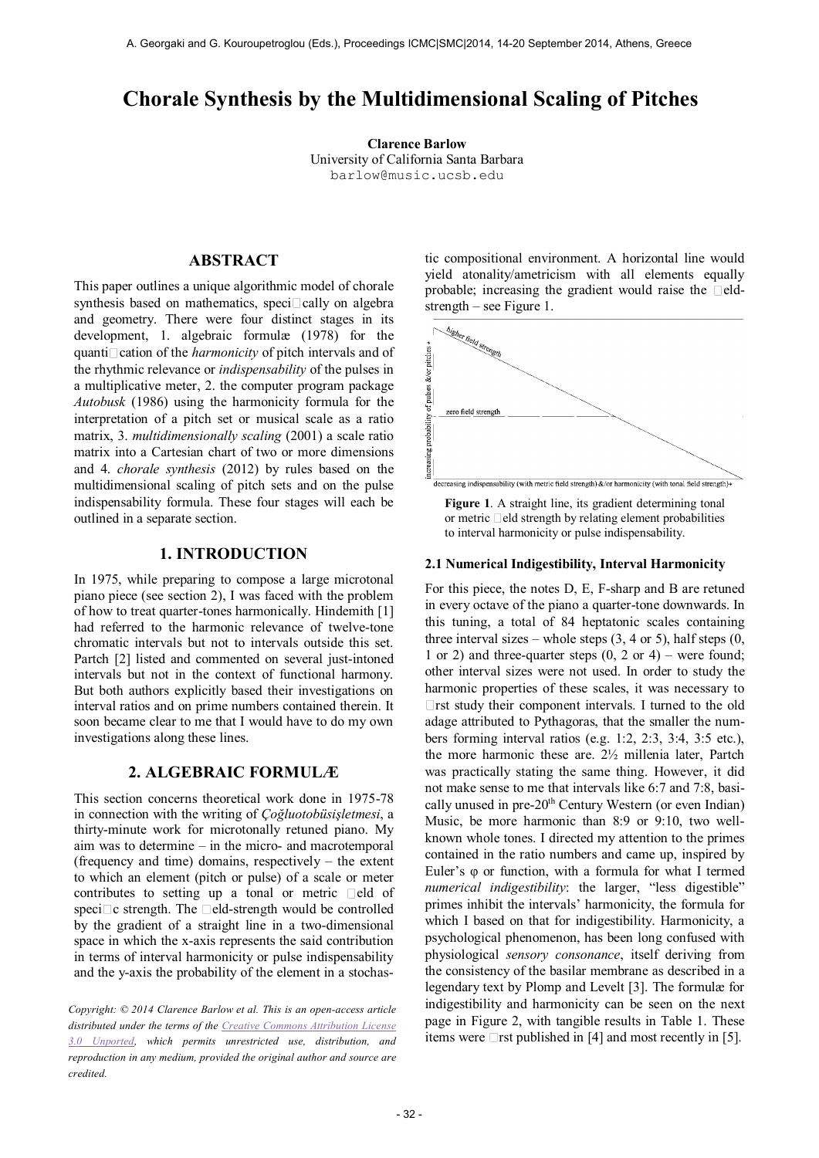# **Chorale Synthesis by the Multidimensional Scaling of Pitches**

**Clarence Barlow** University of California Santa Barbara [barlow@music.ucsb.e](mailto:barlow@music.ucsb.)du

## **ABSTRACT**

This paper outlines a unique algorithmic model of chorale synthesis based on mathematics, speci $\Box$ cally on algebra and geometry. There were four distinct stages in its development, 1. algebraic formulæ (1978) for the quanti cation of the *harmonicity* of pitch intervals and of the rhythmic relevance or *indispensability* of the pulses in a multiplicative meter, 2. the computer program package *Autobusk* (1986) using the harmonicity formula for the interpretation of a pitch set or musical scale as a ratio matrix, 3. *multidimensionally scaling* (2001) a scale ratio matrix into a Cartesian chart of two or more dimensions and 4. *chorale synthesis* (2012) by rules based on the multidimensional scaling of pitch sets and on the pulse indispensability formula. These four stages will each be outlined in a separate section.

### **1. INTRODUCTION**

In 1975, while preparing to compose a large microtonal piano piece (see section 2), I was faced with the problem of how to treat quarter-tones harmonically. Hindemith [1] had referred to the harmonic relevance of twelve-tone chromatic intervals but not to intervals outside this set. Partch [2] listed and commented on several just-intoned intervals but not in the context of functional harmony. But both authors explicitly based their investigations on interval ratios and on prime numbers contained therein. It soon became clear to me that I would have to do my own investigations along these lines.

#### **2. ALGEBRAIC FORMULÆ**

This section concerns theoretical work done in 1975-78 in connection with the writing of *Çoğluotobüsişletmesi*, a thirty-minute work for microtonally retuned piano. My aim was to determine – in the micro- and macrotemporal (frequency and time) domains, respectively – the extent to which an element (pitch or pulse) of a scale or meter contributes to setting up a tonal or metric  $\Box$ eld of speci $\Box$ c strength. The  $\Box$ eld-strength would be controlled by the gradient of a straight line in a two-dimensional space in which the x-axis represents the said contribution in terms of interval harmonicity or pulse indispensability and the y-axis the probability of the element in a stochas-

*Copyright: © 2014 Clarence Barlow et al. This is an open-access article distributed under the terms of the [Creative Commons Attribution License](http://creativecommons.org/licenses/by/3.0/)  [3.0 Unported,](http://creativecommons.org/licenses/by/3.0/) which permits unrestricted use, distribution, and reproduction in any medium, provided the original author and source are credited.*

tic compositional environment. A horizontal line would yield atonality/ametricism with all elements equally probable; increasing the gradient would raise the  $\Box$ eldstrength – see Figure 1.





#### **2.1 Numerical Indigestibility, Interval Harmonicity**

For this piece, the notes D, E, F-sharp and B are retuned in every octave of the piano a quarter-tone downwards. In this tuning, a total of 84 heptatonic scales containing three interval sizes – whole steps  $(3, 4 \text{ or } 5)$ , half steps  $(0, 6)$ 1 or 2) and three-quarter steps  $(0, 2 \text{ or } 4)$  – were found; other interval sizes were not used. In order to study the harmonic properties of these scales, it was necessary to  $\Box$  rst study their component intervals. I turned to the old adage attributed to Pythagoras, that the smaller the numbers forming interval ratios (e.g. 1:2, 2:3, 3:4, 3:5 etc.), the more harmonic these are. 2½ millenia later, Partch was practically stating the same thing. However, it did not make sense to me that intervals like 6:7 and 7:8, basically unused in pre-20<sup>th</sup> Century Western (or even Indian) Music, be more harmonic than 8:9 or 9:10, two wellknown whole tones. I directed my attention to the primes contained in the ratio numbers and came up, inspired by Euler's φ or function, with a formula for what I termed *numerical indigestibility*: the larger, "less digestible" primes inhibit the intervals' harmonicity, the formula for which I based on that for indigestibility. Harmonicity, a psychological phenomenon, has been long confused with physiological *sensory consonance*, itself deriving from the consistency of the basilar membrane as described in a legendary text by Plomp and Levelt [3]. The formulæ for indigestibility and harmonicity can be seen on the next page in Figure 2, with tangible results in Table 1. These items were  $\Box$ rst published in [4] and most recently in [5].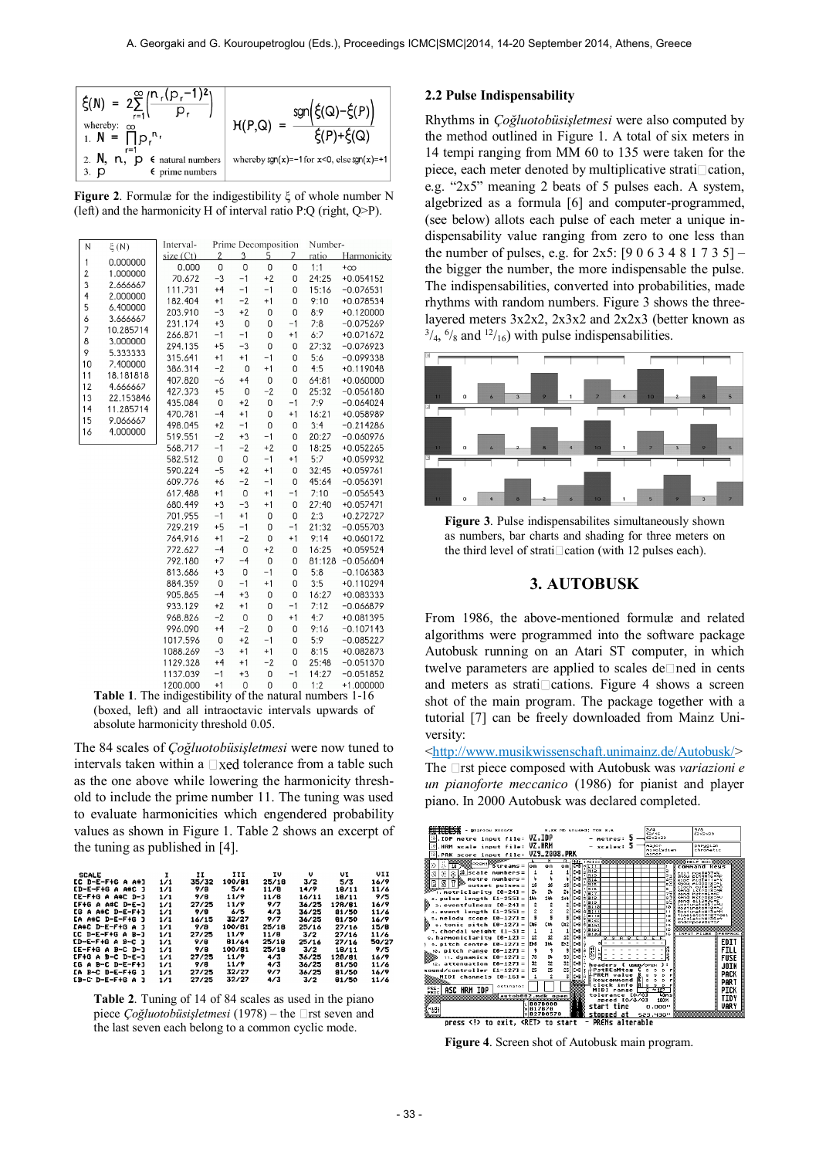| $\xi(N) = 2\sum_{r=1}^{\infty} \left(\frac{n_r(p_r-1)^2}{r^2}\right)$<br>whereby: $\infty$<br>1. $N = \prod_{r=1}^{n} p_r^{n_r}$<br>$r=1$<br>2. $N, n, p \in$ natural numbers<br>$\epsilon$ prime numbers<br>3. p | $sgn(\xi(Q)-\xi(P))$<br>H(P,Q)<br>$\xi(P)+\xi(Q)$<br>whereby $sgn(x)=-1$ for $x<0$ , else $sgn(x)=+1$ |
|-------------------------------------------------------------------------------------------------------------------------------------------------------------------------------------------------------------------|-------------------------------------------------------------------------------------------------------|
|-------------------------------------------------------------------------------------------------------------------------------------------------------------------------------------------------------------------|-------------------------------------------------------------------------------------------------------|

**Figure 2**. Formulæ for the indigestibility ξ of whole number N (left) and the harmonicity H of interval ratio P:Q (right, Q>P).

| N<br>$\xi(N)$                       | Interval- | Prime Decomposition |             |                |      | Number- |             |  |  |
|-------------------------------------|-----------|---------------------|-------------|----------------|------|---------|-------------|--|--|
| 1<br>0.000000                       | size (Ct) | $\overline{2}$      | 3           | 5              | 7    | ratio   | Harmonicity |  |  |
| $\overline{\mathbf{c}}$<br>1.000000 | 0.000     | $\overline{0}$      | 0           | $\overline{0}$ | 0    | 1:1     | $+\infty$   |  |  |
| 3<br>2.666667                       | 70.672    | $-3$                | $-1$        | $+2$           | 0    | 24:25   | $+0.054152$ |  |  |
| 4<br>2.000000                       | 111.731   | $+4$                | $-1$        | $-1$           | 0    | 15:16   | $-0.076531$ |  |  |
| 5<br>6.400000                       | 182.404   | $+1$                | $-2$        | $+1$           | 0    | 9:10    | +0.078534   |  |  |
| 6<br>3.666667                       | 203.910   | $-3$                | $+2$        | 0              | 0    | 8:9     | $+0.120000$ |  |  |
| 7<br>10.285714                      | 231.174   | $+3$                | $\mathbf 0$ | 0              | $-1$ | 7:8     | $-0.075269$ |  |  |
| 8<br>3.000000                       | 266.871   | $-1$                | $-1$        | 0              | $+1$ | 6:7     | +0.071672   |  |  |
| 9<br>5.333333                       | 294.135   | $+5$                | $-3$        | 0              | 0    | 27:32   | $-0.076923$ |  |  |
| 10<br>7.400000                      | 315.641   | $+1$                | $+1$        | $-1$           | 0    | 5:6     | $-0.099338$ |  |  |
| 11<br>18.181818                     | 386.314   | $-2$                | 0           | $+1$           | 0    | 4:5     | +0.119048   |  |  |
| 12<br>4.666667                      | 407.820   | $-6$                | $+4$        | 0              | 0    | 64:81   | +0.060000   |  |  |
| 13<br>22.153846                     | 427.373   | $+5$                | 0           | $-2$           | 0    | 25:32   | $-0.056180$ |  |  |
| 14<br>11.285714                     | 435.084   | $\mathsf 0$         | $+2$        | 0              | $-1$ | 7:9     | $-0.064024$ |  |  |
| 15<br>9.066667                      | 470.781   | $-4$                | $+1$        | 0              | $+1$ | 16:21   | +0.058989   |  |  |
| 16<br>4.000000                      | 498.045   | $+2$                | $-1$        | 0              | 0    | 3:4     | $-0.214286$ |  |  |
|                                     | 519.551   | $-2$                | $+3$        | $-1$           | 0    | 20:27   | $-0.060976$ |  |  |
|                                     | 568.717   | $-1$                | $-2$        | $+2$           | 0    | 18:25   | +0.052265   |  |  |
|                                     | 582.512   | $\mathbf 0$         | 0           | $-1$           | $+1$ | 5:7     | +0.059932   |  |  |
|                                     | 590.224   | $-5$                | $+2$        | $+1$           | 0    | 32:45   | +0.059761   |  |  |
|                                     | 609.776   | $+6$                | $-2$        | $-1$           | 0    | 45:64   | $-0.056391$ |  |  |
|                                     | 617.488   | $+1$                | 0           | $+1$           | $-1$ | 7:10    | $-0.056543$ |  |  |
|                                     | 680.449   | $+3$                | $-3$        | $+1$           | 0    | 27:40   | +0.057471   |  |  |
|                                     | 701.955   | $-1$                | $+1$        | 0              | 0    | 2:3     | +0.272727   |  |  |
|                                     | 729.219   | $+5$                | $-1$        | 0              | $-1$ | 21:32   | $-0.055703$ |  |  |
|                                     | 764.916   | $+1$                | $-2$        | 0              | $+1$ | 9:14    | +0.060172   |  |  |
|                                     | 772.627   | $-4$                | 0           | $+2$           | 0    | 16:25   | +0.059524   |  |  |
|                                     | 792.180   | $+7$                | $-4$        | 0              | 0    | 81:128  | $-0.056604$ |  |  |
|                                     | 813.686   | $+3$                | 0           | $-1$           | 0    | 5:8     | $-0.106383$ |  |  |
|                                     | 884.359   | 0                   | $-1$        | $+1$           | 0    | 3:5     | +0.110294   |  |  |
|                                     | 905.865   | $-4$                | $+3$        | 0              | 0    | 16:27   | +0.083333   |  |  |
|                                     | 933.129   | $+2$                | $+1$        | 0              | $-1$ | 7:12    | $-0.066879$ |  |  |
|                                     | 968.826   | $-2$                | 0           | 0              | $+1$ | 4:7     | +0.081395   |  |  |
|                                     | 996.090   | $+4$                | $-2$        | 0              | 0    | 9:16    | $-0.107143$ |  |  |
|                                     | 1017.596  | 0                   | $+2$        | $-1$           | 0    | 5:9     | $-0.085227$ |  |  |
|                                     | 1088.269  | $-3$                | $+1$        | $+1$           | 0    | 8:15    | +0.082873   |  |  |
|                                     | 1129.328  | $+4$                | $+1$        | $-2$           | 0    | 25:48   | $-0.051370$ |  |  |
|                                     | 1137.039  | $-1$                | $+3$        | 0              | $-1$ | 14:27   | $-0.051852$ |  |  |
|                                     | 1200.000  | $+1$                | 0           | 0              | 0    | 1:2     | $+1.000000$ |  |  |

**Table 1**. The indigestibility of the natural numbers 1-16 (boxed, left) and all intraoctavic intervals upwards of absolute harmonicity threshold 0.05.

The 84 scales of *Çoğluotobüsişletmesi* were now tuned to intervals taken within a  $\Box$  xed tolerance from a table such as the one above while lowering the harmonicity threshold to include the prime number 11. The tuning was used to evaluate harmonicities which engendered probability values as shown in Figure 1. Table 2 shows an excerpt of the tuning as published in [4].

| 100/81<br>EC D-E-F+G A A#J<br>35/32<br>25/18<br>3/2<br>5/3<br>1/1<br>5/4<br><b>CD-E-F+G A A#C J</b><br>1/1<br>978<br>11/8<br>14/9<br>18/11 | 16/9<br>11/6<br>9/5<br>16/9 |
|--------------------------------------------------------------------------------------------------------------------------------------------|-----------------------------|
|                                                                                                                                            |                             |
|                                                                                                                                            |                             |
| CE-F+G A A#C D-J<br>16/11<br>1/1<br>11/9<br>11/B<br>18/11<br>9/B                                                                           |                             |
| $LF+G A 4C D-E-1$<br>7/7<br>36/25<br>27/25<br>11/9<br>128/81<br>1/1                                                                        |                             |
| 675<br>EG A A#C D-E-F+J<br>1/1<br>978<br>4/3<br>36/25<br>81/50                                                                             | 11/6                        |
| 32/27<br><b>CA A#C D-E-F+G J</b><br>1/1<br>16/15<br>36/25<br>917<br>81/50                                                                  | 16/9                        |
| 100/81<br>$LAE$ $D-E-F+G$ $A$ $J$<br>1/1<br>25/18<br>25/16<br>9/8<br>27/16                                                                 | 15/8                        |
| <b>LC D-E-F+G A B-J</b><br>27/25<br>11/9<br>11/8<br>1/1<br>3/2<br>27/16                                                                    | 11/6                        |
| 25/18<br>ED-E-F+G A B-C J<br>81/64<br>1/1<br>9/B<br>25/16<br>27/16                                                                         | 50/2.                       |
| 25/18<br><b>CE-F+G A B-C D-J</b><br>100/81<br>1/1<br>9/8<br>3/2<br>18/11                                                                   | 9/5                         |
| 11/9<br>4/3<br>27/25<br>36/25<br>128/81<br><b>CF+G A B-C D-E-J</b><br>1/1                                                                  | 16/9                        |
| 11/9<br>9/8<br>36/25<br>4/3<br>81/50<br><b>CG A B-C D-E-F+3</b><br>1/1                                                                     | 11/6                        |
| 32/27<br>27/25<br>36/25<br>917<br>81/50<br>IA B-C D-E-F+G 1<br>1/1                                                                         | 16/9                        |
| 32/27<br>4/3<br>27/25<br>3/2<br><b>CB-C D-E-F+G A 1</b><br>1/1<br>81/50                                                                    | 11/6                        |

**Table 2**. Tuning of 14 of 84 scales as used in the piano piece *Çoğluotobüsişletmesi* (1978) – the □rst seven and the last seven each belong to a common cyclic mode.

#### **2.2 Pulse Indispensability**

Rhythms in *Çoğluotobüsişletmesi* were also computed by the method outlined in Figure 1. A total of six meters in 14 tempi ranging from MM 60 to 135 were taken for the piece, each meter denoted by multiplicative strati $\Box$ cation, e.g. "2x5" meaning 2 beats of 5 pulses each. A system, algebrized as a formula [6] and computer-programmed, (see below) allots each pulse of each meter a unique indispensability value ranging from zero to one less than the number of pulses, e.g. for  $2x5$ :  $[9063481735]$  – the bigger the number, the more indispensable the pulse. The indispensabilities, converted into probabilities, made rhythms with random numbers. Figure 3 shows the threelayered meters 3x2x2, 2x3x2 and 2x2x3 (better known as  $^{3}/_{4}$ ,  $^{6}/_{8}$  and  $^{12}/_{16}$ ) with pulse indispensabilities.



**Figure 3**. Pulse indispensabilites simultaneously shown as numbers, bar charts and shading for three meters on the third level of strati $\Box$ cation (with 12 pulses each).

#### **3. AUTOBUSK**

From 1986, the above-mentioned formulæ and related algorithms were programmed into the software package Autobusk running on an Atari ST computer, in which twelve parameters are applied to scales de $\Box$  ned in cents and meters as strati $\Box$ cations. Figure 4 shows a screen shot of the main program. The package together with a tutorial [7] can be freely downloaded from Mainz University:

[<http://www.musikwissenschaft.unimainz.de/Autobusk/>](http://www.musikwissenschaft.unimainz.de/Autobusk/) The **Triangler's** The Triangler's Composed with Autobusk was *variazioni e un pianoforte meccanico* (1986) for pianist and player piano. In 2000 Autobusk was declared completed.



**Figure 4**. Screen shot of Autobusk main program.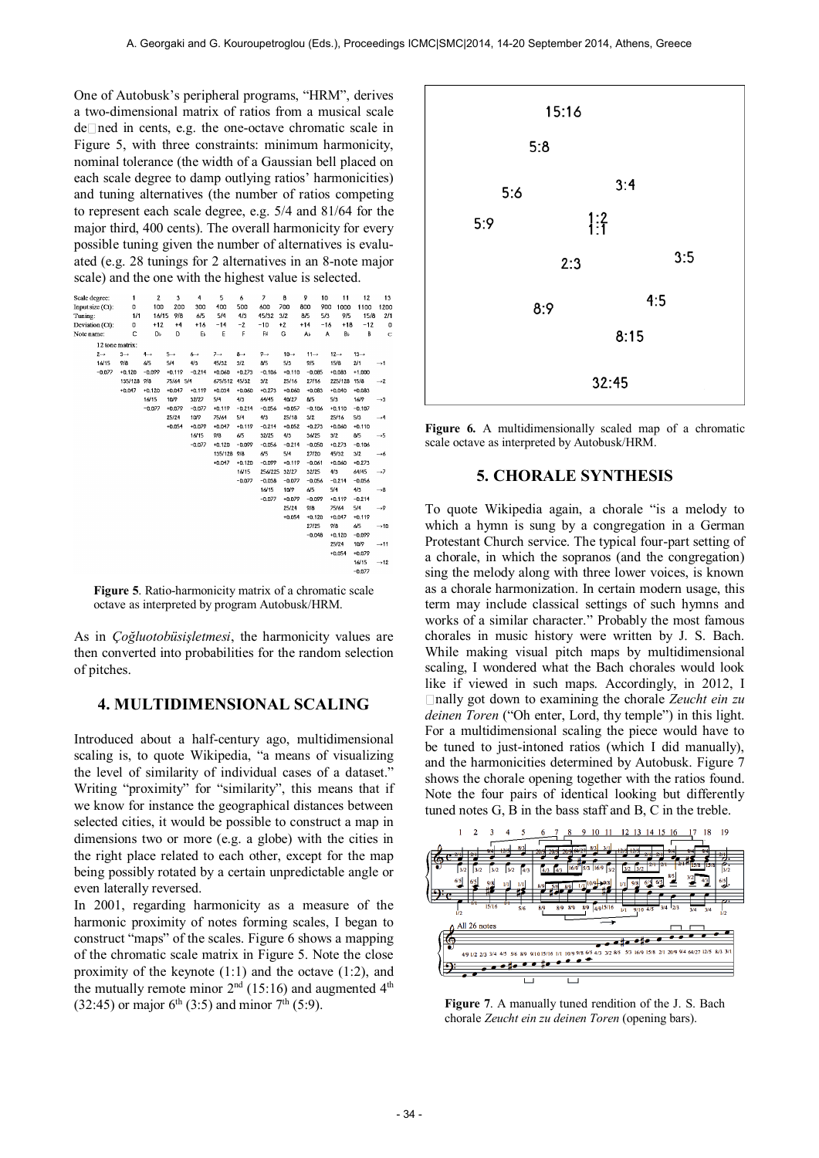One of Autobusk's peripheral programs, "HRM", derives a two-dimensional matrix of ratios from a musical scale de Ined in cents, e.g. the one-octave chromatic scale in Figure 5, with three constraints: minimum harmonicity, nominal tolerance (the width of a Gaussian bell placed on each scale degree to damp outlying ratios' harmonicities) and tuning alternatives (the number of ratios competing to represent each scale degree, e.g. 5/4 and 81/64 for the major third, 400 cents). The overall harmonicity for every possible tuning given the number of alternatives is evaluated (e.g. 28 tunings for 2 alternatives in an 8-note major scale) and the one with the highest value is selected.

| Scale degree:    | 1               | $\overline{\mathbf{2}}$ | 3               | 4               | 5               | 6               | $\overline{\phantom{a}}$ | 8                | 9                | 10    | 11               | 12               | 13               |
|------------------|-----------------|-------------------------|-----------------|-----------------|-----------------|-----------------|--------------------------|------------------|------------------|-------|------------------|------------------|------------------|
| Input size (Ct): | 0               | 100                     | 200             | 300             | 400             | 500             | 600                      | 700              | 800              | 900   | 1000             | 1100             | 1200             |
| Tuning:          | 1/1             | 16/15                   | 9/8             | 6/5             | 5/4             | 4/3             | 45/32                    | 3/2              | 8/5              | 5/3   | 9/5              | 15/8             | 2/1              |
| Deviation (Ct):  | 0               | $+12$                   | $+4$            | $+16$           | $-14$           | $-2$            | $-10$                    | $+2$             | $+14$            | $-16$ | $+18$            | $-12$            | 0                |
| Note name:       | c               | DЬ                      | D               | в               | E               | F               | F#                       | Ġ                | Аŀ               | A     | Bь               | B                | Ċ                |
| 12 tone matrix:  |                 |                         |                 |                 |                 |                 |                          |                  |                  |       |                  |                  |                  |
| $2 \rightarrow$  | $3 \rightarrow$ | $4 \rightarrow$         | $5 \rightarrow$ | $6 \rightarrow$ | $7 \rightarrow$ | $8 \rightarrow$ | $9 \rightarrow$          | $10 \rightarrow$ | $11 \rightarrow$ |       | $12 \rightarrow$ | $13 \rightarrow$ |                  |
| 16/15            | 9/8             | 6/5                     | 5/4             | 4/3             | 45/32           | 3/2             | 8/5                      | 5/3              | 9/5              |       | 15/8             | 2/1              | $\rightarrow$ 1  |
| $-0.077$         | $+0.120$        | $-0.099$                | $+0.119$        | $-0.214$        | $+0.060$        | $+0.273$        | $-0.106$                 | $+0.110$         | $-0.085$         |       | $+0.083$         | $+1,000$         |                  |
|                  | 135/128         | 9/8                     | 75/64 5/4       |                 | 675/512 45/32   |                 | 3/2                      | 25/16            | 27/16            |       | 225/128 15/8     |                  | $\rightarrow$ 2  |
|                  | $+0.047$        | $+0.120$                | $+0.047$        | $+0.119$        | $+0.034$        | $+0.060$        | $+0.273$                 | $+0.060$         | $+0.083$         |       | $+0.040$         | $+0.083$         |                  |
|                  |                 | 16/15                   | 10/9            | 32/27           | 5/4             | 4/3             | 64/45                    | 40/27            | 8/5              |       | 5/3              | 16/9             | $\rightarrow$ 3  |
|                  |                 | $-0.077$                | $+0.079$        | $-0.077$        | $+0.119$        | $-0.214$        | $-0.056$                 | $+0.057$         | $-0.106$         |       | $+0.110$         | $-0.107$         |                  |
|                  |                 |                         | 25/24           | 10/9            | 75/64           | 5/4             | 4/3                      | 25/18            | 3/2              |       | 25/16            | 5/3              | $\rightarrow$ 4  |
|                  |                 |                         | $+0.054$        | $+0.079$        | $+0.047$        | $+0.119$        | $-0.214$                 | $+0.052$         | $+0.273$         |       | $+0.060$         | $+0.110$         |                  |
|                  |                 |                         |                 | 16/15           | 9/8             | 6/5             | 32/25                    | 4/3              | 36/25            |       | 3/2              | 8/5              | $\rightarrow$ 5  |
|                  |                 |                         |                 | $-0.077$        | $+0.120$        | $-0.099$        | $-0.056$                 | $-0.214$         | $-0.050$         |       | $+0.273$         | $-0.106$         |                  |
|                  |                 |                         |                 |                 | 135/128 9/8     |                 | 6/5                      | 5/4              | 27/20            |       | 45/32            | 3/2              | $\rightarrow$ 6  |
|                  |                 |                         |                 |                 | $+0.047$        | $+0.120$        | $-0.099$                 | $+0.119$         | $-0.061$         |       | $+0.060$         | $+0.273$         |                  |
|                  |                 |                         |                 |                 |                 | 16/15           | 256/225                  | 32/27            | 32/25            |       | 4/3              | 64/45            | $\rightarrow$ 7  |
|                  |                 |                         |                 |                 |                 | $-0.077$        | $-0.038$                 | $-0.077$         | $-0.056$         |       | $-0.214$         | $-0.056$         |                  |
|                  |                 |                         |                 |                 |                 |                 | 16/15                    | 10/9             | 6/5              |       | 5/4              | 4/3              | $\rightarrow$ 8  |
|                  |                 |                         |                 |                 |                 |                 | $-0.077$                 | $+0.079$         | $-0.099$         |       | $+0.119$         | $-0.214$         |                  |
|                  |                 |                         |                 |                 |                 |                 |                          | 25/24            | 9/8              |       | 75/64            | 5/4              | $\rightarrow$ 9  |
|                  |                 |                         |                 |                 |                 |                 |                          | $+0.054$         | $+0.120$         |       | $+0.047$         | $+0.119$         |                  |
|                  |                 |                         |                 |                 |                 |                 |                          |                  | 27/25            |       | 9/8              | 6/5              | $\rightarrow$ 10 |
|                  |                 |                         |                 |                 |                 |                 |                          |                  | $-0.048$         |       | $+0.120$         | $-0.099$         |                  |
|                  |                 |                         |                 |                 |                 |                 |                          |                  |                  |       | 25/24            | 10/9             | $\rightarrow$ 11 |
|                  |                 |                         |                 |                 |                 |                 |                          |                  |                  |       | $+0.054$         | $+0.079$         |                  |
|                  |                 |                         |                 |                 |                 |                 |                          |                  |                  |       |                  | 16/15            | $\rightarrow$ 12 |
|                  |                 |                         |                 |                 |                 |                 |                          |                  |                  |       |                  | $-0.077$         |                  |

**Figure 5**. Ratio-harmonicity matrix of a chromatic scale octave as interpreted by program Autobusk/HRM.

As in *Çoğluotobüsişletmesi*, the harmonicity values are then converted into probabilities for the random selection of pitches.

### **4. MULTIDIMENSIONAL SCALING**

Introduced about a half-century ago, multidimensional scaling is, to quote Wikipedia, "a means of visualizing the level of similarity of individual cases of a dataset." Writing "proximity" for "similarity", this means that if we know for instance the geographical distances between selected cities, it would be possible to construct a map in dimensions two or more (e.g. a globe) with the cities in the right place related to each other, except for the map being possibly rotated by a certain unpredictable angle or even laterally reversed.

In 2001, regarding harmonicity as a measure of the harmonic proximity of notes forming scales, I began to construct "maps" of the scales. Figure 6 shows a mapping of the chromatic scale matrix in Figure 5. Note the close proximity of the keynote  $(1:1)$  and the octave  $(1:2)$ , and the mutually remote minor  $2<sup>nd</sup>$  (15:16) and augmented  $4<sup>th</sup>$ (32:45) or major  $6^{th}$  (3:5) and minor  $7^{th}$  (5:9).



Figure 6. A multidimensionally scaled map of a chromatic scale octave as interpreted by Autobusk/HRM.

#### **5. CHORALE SYNTHESIS**

To quote Wikipedia again, a chorale "is a [melody](http://en.wikipedia.org/wiki/Melody) to which a [hymn](http://en.wikipedia.org/wiki/Hymn) is sung by a [congregation](http://en.wikipedia.org/wiki/Local_church) in a [German](http://en.wikipedia.org/wiki/German_Protestant_Church)  [Protestant Church](http://en.wikipedia.org/wiki/German_Protestant_Church) service. The typical [four-part setting](http://en.wikipedia.org/wiki/Four-part_harmony) of a chorale, in which the sopranos (and the congregation) sing the melody along with three lower voices, is known as a chorale harmonization. In certain modern usage, this term may include classical settings of such hymns and works of a similar character." Probably the most famous chorales in music history were written by J. S. Bach. While making visual pitch maps by multidimensional scaling, I wondered what the Bach chorales would look like if viewed in such maps. Accordingly, in 2012, I nally got down to examining the chorale *Zeucht ein zu deinen Toren* ("Oh enter, Lord, thy temple") in this light. For a multidimensional scaling the piece would have to be tuned to just-intoned ratios (which I did manually), and the harmonicities determined by Autobusk. Figure 7 shows the chorale opening together with the ratios found. Note the four pairs of identical looking but differently tuned notes G, B in the bass staff and B, C in the treble.



**Figure 7**. A manually tuned rendition of the J. S. Bach chorale *Zeucht ein zu deinen Toren* (opening bars).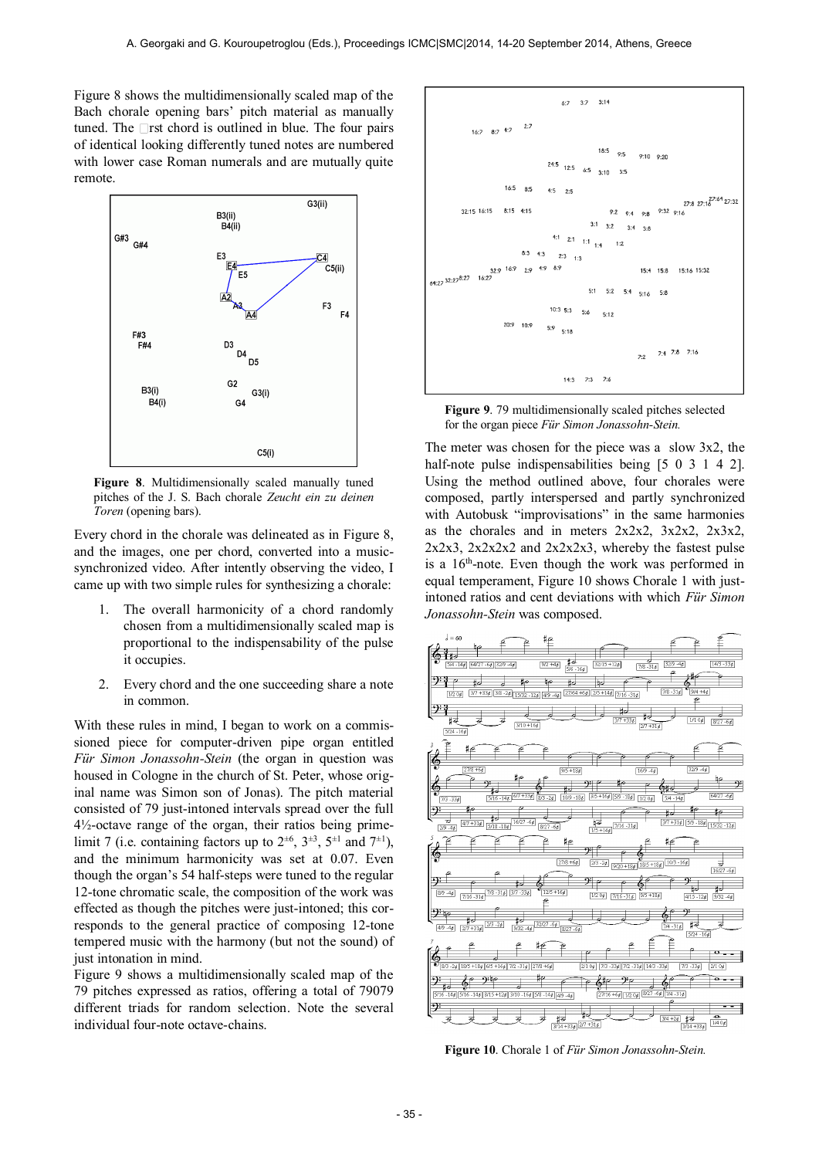Figure 8 shows the multidimensionally scaled map of the Bach chorale opening bars' pitch material as manually tuned. The  $\Box$ rst chord is outlined in blue. The four pairs of identical looking differently tuned notes are numbered with lower case Roman numerals and are mutually quite remote.



**Figure 8**. Multidimensionally scaled manually tuned pitches of the J. S. Bach chorale *Zeucht ein zu deinen Toren* (opening bars).

Every chord in the chorale was delineated as in Figure 8, and the images, one per chord, converted into a musicsynchronized video. After intently observing the video, I came up with two simple rules for synthesizing a chorale:

- 1. The overall harmonicity of a chord randomly chosen from a multidimensionally scaled map is proportional to the indispensability of the pulse it occupies.
- 2. Every chord and the one succeeding share a note in common.

With these rules in mind, I began to work on a commissioned piece for computer-driven pipe organ entitled *Für Simon Jonassohn-Stein* (the organ in question was housed in Cologne in the church of St. Peter, whose original name was Simon son of Jonas). The pitch material consisted of 79 just-intoned intervals spread over the full 4½-octave range of the organ, their ratios being primelimit 7 (i.e. containing factors up to  $2^{\pm 6}$ ,  $3^{\pm 3}$ ,  $5^{\pm 1}$  and  $7^{\pm 1}$ ), and the minimum harmonicity was set at 0.07. Even though the organ's 54 half-steps were tuned to the regular 12-tone chromatic scale, the composition of the work was effected as though the pitches were just-intoned; this corresponds to the general practice of composing 12-tone tempered music with the harmony (but not the sound) of just intonation in mind.

Figure 9 shows a multidimensionally scaled map of the 79 pitches expressed as ratios, offering a total of 79079 different triads for random selection. Note the several individual four-note octave-chains.



**Figure 9**. 79 multidimensionally scaled pitches selected for the organ piece *Für Simon Jonassohn-Stein.*

The meter was chosen for the piece was a slow 3x2, the half-note pulse indispensabilities being [5 0 3 1 4 2]. Using the method outlined above, four chorales were composed, partly interspersed and partly synchronized with Autobusk "improvisations" in the same harmonies as the chorales and in meters  $2x2x2$ ,  $3x2x2$ ,  $2x3x2$ ,  $2x2x3$ ,  $2x2x2x2$  and  $2x2x2x3$ , whereby the fastest pulse is a 16<sup>th</sup>-note. Even though the work was performed in equal temperament, Figure 10 shows Chorale 1 with justintoned ratios and cent deviations with which *Für Simon Jonassohn-Stein* was composed.



**Figure 10**. Chorale 1 of *Für Simon Jonassohn-Stein.*